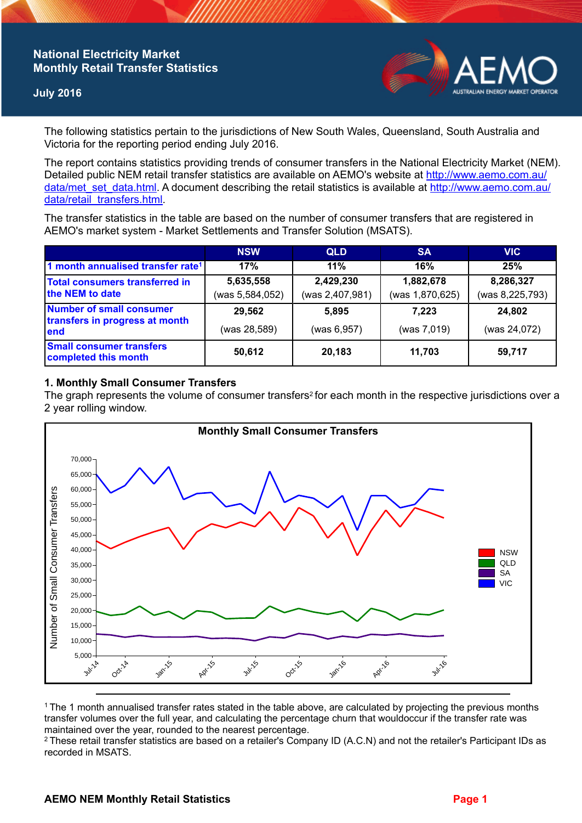# **National Electricity Market Monthly Retail Transfer Statistics**

### **July 2016**



The following statistics pertain to the jurisdictions of New South Wales, Queensland, South Australia and Victoria for the reporting period ending July 2016.

The report contains statistics providing trends of consumer transfers in the National Electricity Market (NEM). Detailed public NEM retail transfer statistics are available on AEMO's website at [http://www.aemo.com.au/](http://www.aemo.com.au/data/met_set_data.html) [data/met\\_set\\_data.html](http://www.aemo.com.au/data/met_set_data.html). A document describing the retail statistics is available at [http://www.aemo.com.au/](http://www.aemo.com.au/data/retail_transfers.html) [data/retail\\_transfers.html](http://www.aemo.com.au/data/retail_transfers.html).

The transfer statistics in the table are based on the number of consumer transfers that are registered in AEMO's market system - Market Settlements and Transfer Solution (MSATS).

|                                                                    | <b>NSW</b>                   | <b>QLD</b>                   | <b>SA</b>                    | <b>VIC</b>                   |
|--------------------------------------------------------------------|------------------------------|------------------------------|------------------------------|------------------------------|
| 1 month annualised transfer rate <sup>1</sup>                      | 17%                          | 11%                          | 16%                          | 25%                          |
| <b>Total consumers transferred in</b><br>the NEM to date           | 5,635,558<br>(was 5,584,052) | 2,429,230<br>(was 2,407,981) | 1,882,678<br>(was 1,870,625) | 8,286,327<br>(was 8,225,793) |
| Number of small consumer<br>transfers in progress at month<br>lend | 29,562                       | 5.895                        | 7.223                        | 24,802                       |
|                                                                    | (was 28,589)                 | (was 6,957)                  | (was 7,019)                  | (was 24,072)                 |
| <b>Small consumer transfers</b><br>completed this month            | 50,612                       | 20,183                       | 11,703                       | 59,717                       |

### **1. Monthly Small Consumer Transfers**

The graph represents the volume of consumer transfers<sup>2</sup> for each month in the respective jurisdictions over a 2 year rolling window.



<sup>1</sup>The 1 month annualised transfer rates stated in the table above, are calculated by projecting the previous months transfer volumes over the full year, and calculating the percentage churn that wouldoccur if the transfer rate was maintained over the year, rounded to the nearest percentage.

<sup>2</sup> These retail transfer statistics are based on a retailer's Company ID (A.C.N) and not the retailer's Participant IDs as recorded in MSATS.